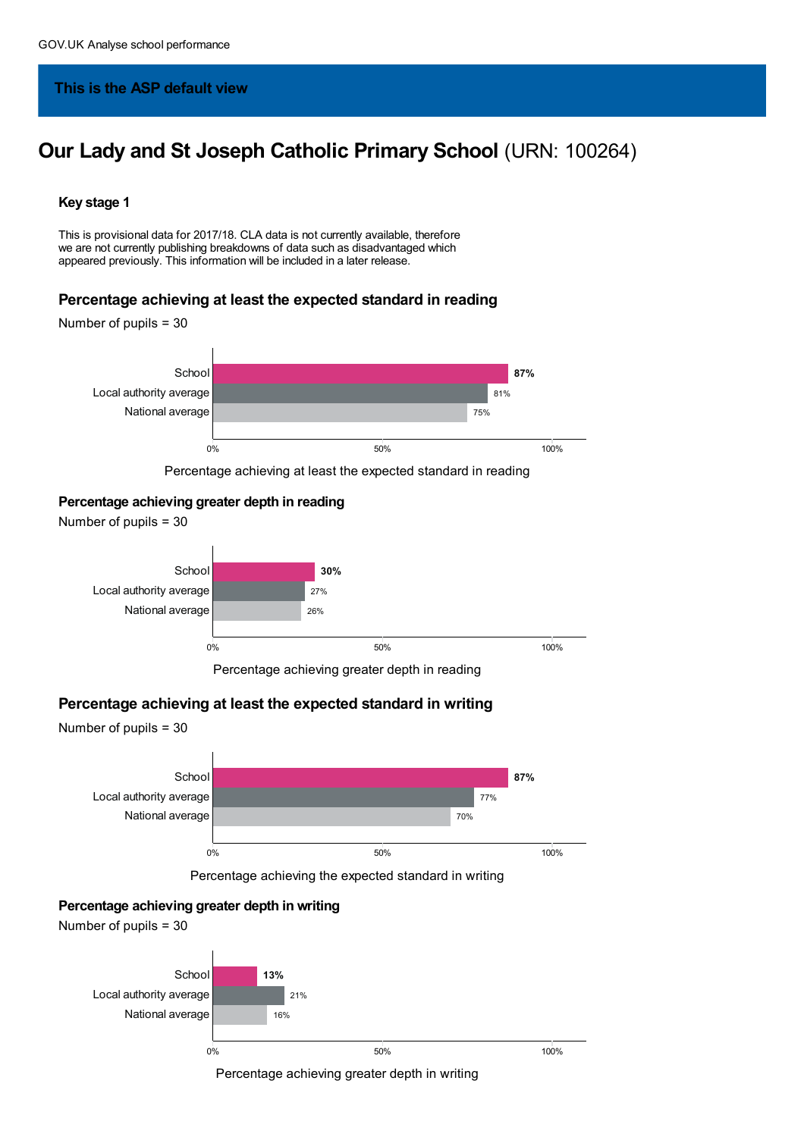## **This is the ASP default view**

# **Our Lady and St Joseph Catholic Primary School** (URN: 100264)

#### **Key stage 1**

This is provisional data for 2017/18. CLA data is not currently available, therefore we are not currently publishing breakdowns of data such as disadvantaged which appeared previously. This information will be included in a later release.

#### **Percentage achieving at least the expected standard in reading**

Number of pupils = 30



Percentage achieving at least the expected standard in reading

### **Percentage achieving greater depth in reading**



Percentage achieving greater depth in reading

#### **Percentage achieving at least the expected standard in writing**